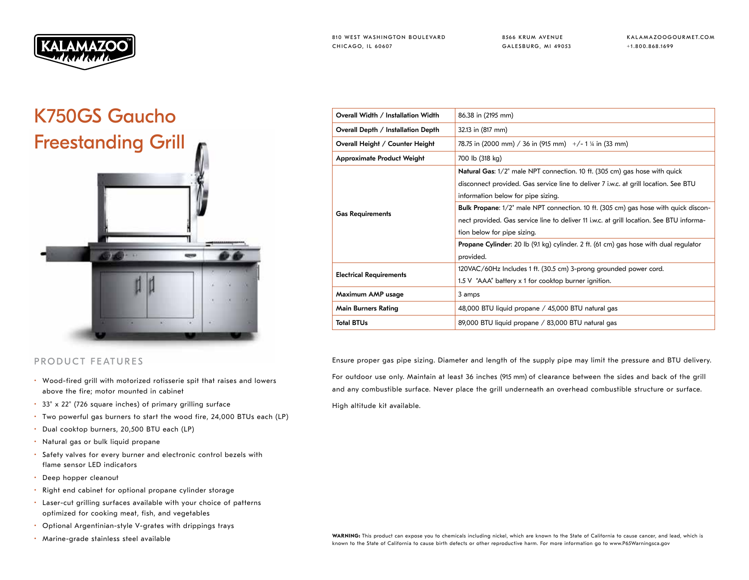

8566 KRUM AVENUE GALESBURG, MI 49053 KALAMAZOOGOURMET.COM +1.800.868.1699

## K750GS Gaucho Freestanding Grill



## PRODUCT FEATURES

- Wood-fired grill with motorized rotisserie spit that raises and lowers above the fire; motor mounted in cabinet
- 33" x 22" (726 square inches) of primary grilling surface
- Two powerful gas burners to start the wood fire, 24,000 BTUs each (LP)
- Dual cooktop burners, 20,500 BTU each (LP)
- Natural gas or bulk liquid propane
- Safety valves for every burner and electronic control bezels with flame sensor LED indicators
- Deep hopper cleanout
- Right end cabinet for optional propane cylinder storage
- Laser-cut grilling surfaces available with your choice of patterns optimized for cooking meat, fish, and vegetables
- Optional Argentinian-style V-grates with drippings trays
- 

| Overall Width / Installation Width | 86.38 in (2195 mm)                                                                           |
|------------------------------------|----------------------------------------------------------------------------------------------|
| Overall Depth / Installation Depth | 32.13 in (817 mm)                                                                            |
| Overall Height / Counter Height    | 78.75 in (2000 mm) / 36 in (915 mm) $+/- 1$ % in (33 mm)                                     |
| <b>Approximate Product Weight</b>  | 700 lb (318 kg)                                                                              |
| <b>Gas Requirements</b>            | Natural Gas: 1/2" male NPT connection. 10 ft. (305 cm) gas hose with quick                   |
|                                    | disconnect provided. Gas service line to deliver 7 i.w.c. at grill location. See BTU         |
|                                    | information below for pipe sizing.                                                           |
|                                    | <b>Bulk Propane:</b> 1/2" male NPT connection. 10 ft. (305 cm) gas hose with quick discon-   |
|                                    | nect provided. Gas service line to deliver 11 i.w.c. at grill location. See BTU informa-     |
|                                    | tion below for pipe sizing.                                                                  |
|                                    | <b>Propane Cylinder:</b> 20 lb (9.1 kg) cylinder. 2 ft. (61 cm) gas hose with dual regulator |
|                                    | provided.                                                                                    |
| <b>Electrical Requirements</b>     | 120VAC/60Hz Includes 1 ft. (30.5 cm) 3-prong grounded power cord.                            |
|                                    | 1.5 V "AAA" battery x 1 for cooktop burner ignition.                                         |
| Maximum AMP usage                  | 3 amps                                                                                       |
| <b>Main Burners Rating</b>         | 48,000 BTU liquid propane / 45,000 BTU natural gas                                           |
| <b>Total BTUs</b>                  | 89,000 BTU liquid propane / 83,000 BTU natural gas                                           |

Ensure proper gas pipe sizing. Diameter and length of the supply pipe may limit the pressure and BTU delivery. For outdoor use only. Maintain at least 36 inches (915 mm) of clearance between the sides and back of the grill and any combustible surface. Never place the grill underneath an overhead combustible structure or surface.

High altitude kit available.

• Marine-grade stainless steel available **WARNING: This product can expose you to chemicals including nickel**, which are known to the State of California to cause cancer, and lead, which is known to the State of California to cause birth defects or other reproductive harm. For more information go to www.P65Warningsca.gov